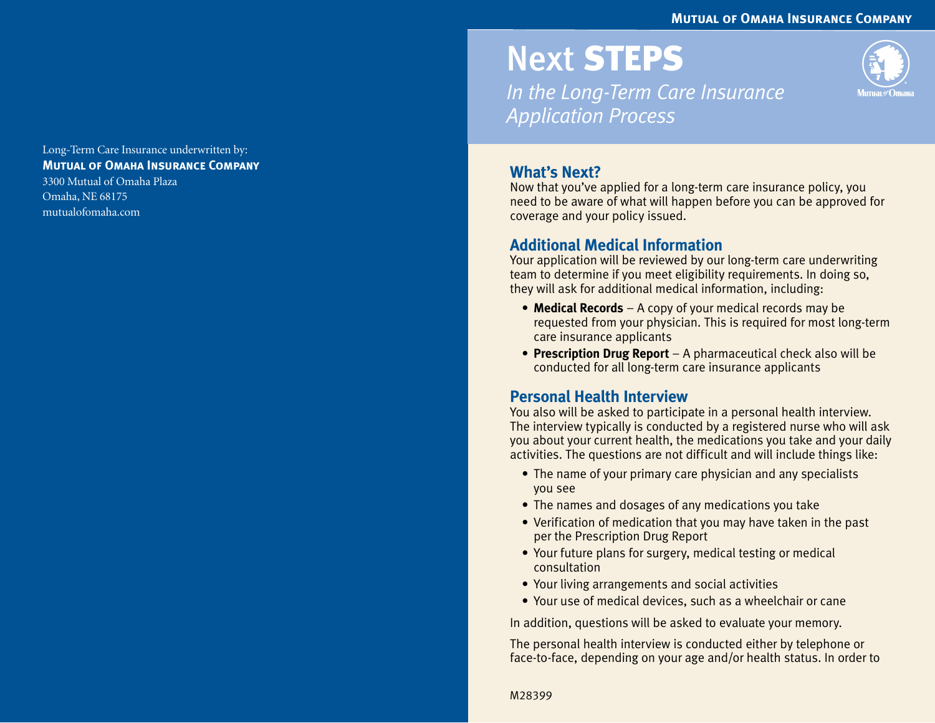#### **Mutual of Omaha Insurance Company**

Long-Term Care Insurance underwritten by: **Mutual of Omaha Insurance Company** 3300 Mutual of Omaha Plaza Omaha, NE 68175 mutualofomaha.com

# Next STEPS

*In the Long-Term Care Insurance Application Process*



# **What's Next?**

Now that you've applied for a long-term care insurance policy, you need to be aware of what will happen before you can be approved for coverage and your policy issued.

#### **Additional Medical Information**

Your application will be reviewed by our long-term care underwriting team to determine if you meet eligibility requirements. In doing so, they will ask for additional medical information, including:

- **Medical Records** A copy of your medical records may be requested from your physician. This is required for most long-term care insurance applicants
- **Prescription Drug Report** A pharmaceutical check also will be conducted for all long-term care insurance applicants

### **Personal Health Interview**

You also will be asked to participate in a personal health interview. The interview typically is conducted by a registered nurse who will ask you about your current health, the medications you take and your daily activities. The questions are not difficult and will include things like:

- The name of your primary care physician and any specialists you see
- The names and dosages of any medications you take
- Verification of medication that you may have taken in the past per the Prescription Drug Report
- Your future plans for surgery, medical testing or medical consultation
- Your living arrangements and social activities
- Your use of medical devices, such as a wheelchair or cane

In addition, questions will be asked to evaluate your memory.

The personal health interview is conducted either by telephone or face-to-face, depending on your age and/or health status. In order to